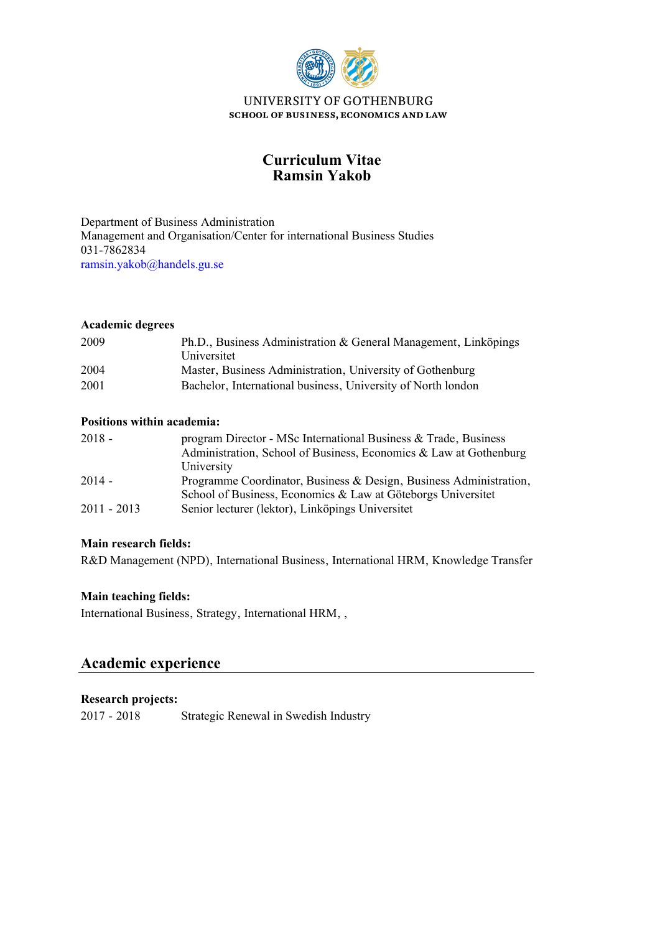

# **Ramsin Yakob Curriculum Vitae**

Management and Organisation/Center for international Business Studies Department of Business Administration 031-7862834 [ramsin.yakob@handels.gu.se](mailto:ramsin.yakob@handels.gu.se)

## **Academic degrees**

| 2009 | Ph.D., Business Administration & General Management, Linköpings<br>Universitet |
|------|--------------------------------------------------------------------------------|
| 2004 | Master, Business Administration, University of Gothenburg                      |
| 2001 | Bachelor, International business, University of North london                   |

## **Positions within academia:**

| $2018 -$      | program Director - MSc International Business & Trade, Business<br>Administration, School of Business, Economics & Law at Gothenburg |
|---------------|--------------------------------------------------------------------------------------------------------------------------------------|
|               | University                                                                                                                           |
| $2014 -$      | Programme Coordinator, Business & Design, Business Administration,                                                                   |
|               | School of Business, Economics & Law at Göteborgs Universitet                                                                         |
| $2011 - 2013$ | Senior lecturer (lektor), Linköpings Universitet                                                                                     |

## **Main research fields:**

R&D Management (NPD), International Business, International HRM, Knowledge Transfer

## **Main teaching fields:**

International Business, Strategy, International HRM, ,

# **Academic experience**

## **Research projects:**

2017 - 2018 Strategic Renewal in Swedish Industry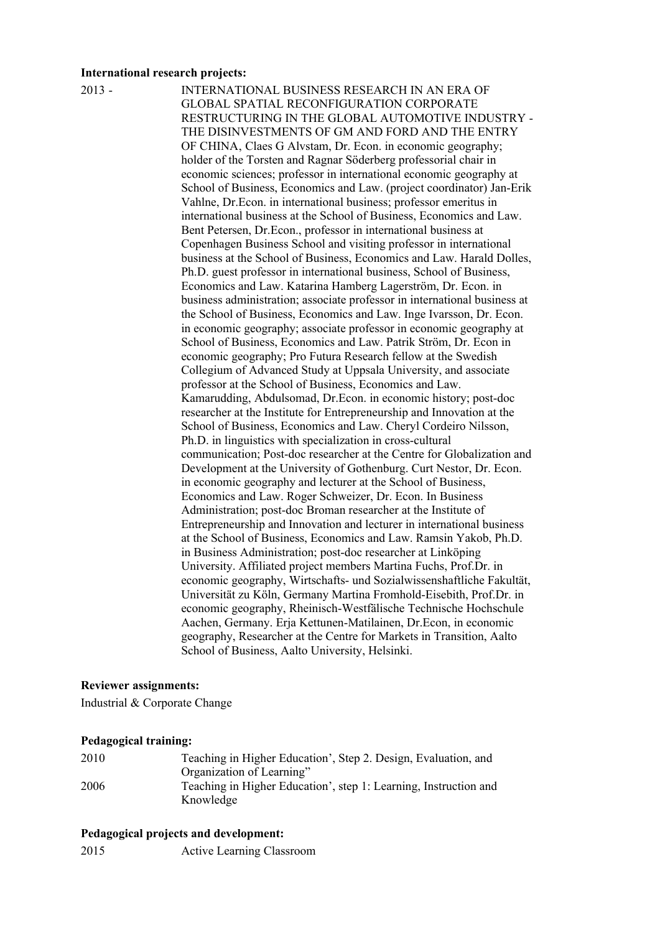#### **International research projects:**

2013 - INTERNATIONAL BUSINESS RESEARCH IN AN ERA OF GLOBAL SPATIAL RECONFIGURATION CORPORATE RESTRUCTURING IN THE GLOBAL AUTOMOTIVE INDUSTRY - THE DISINVESTMENTS OF GM AND FORD AND THE ENTRY OF CHINA, Claes G Alvstam, Dr. Econ. in economic geography; holder of the Torsten and Ragnar Söderberg professorial chair in economic sciences; professor in international economic geography at School of Business, Economics and Law. (project coordinator) Jan-Erik Vahlne, Dr.Econ. in international business; professor emeritus in international business at the School of Business, Economics and Law. Bent Petersen, Dr.Econ., professor in international business at Copenhagen Business School and visiting professor in international business at the School of Business, Economics and Law. Harald Dolles, Ph.D. guest professor in international business, School of Business, Economics and Law. Katarina Hamberg Lagerström, Dr. Econ. in business administration; associate professor in international business at the School of Business, Economics and Law. Inge Ivarsson, Dr. Econ. in economic geography; associate professor in economic geography at School of Business, Economics and Law. Patrik Ström, Dr. Econ in economic geography; Pro Futura Research fellow at the Swedish Collegium of Advanced Study at Uppsala University, and associate professor at the School of Business, Economics and Law. Kamarudding, Abdulsomad, Dr.Econ. in economic history; post-doc researcher at the Institute for Entrepreneurship and Innovation at the School of Business, Economics and Law. Cheryl Cordeiro Nilsson, Ph.D. in linguistics with specialization in cross-cultural communication; Post-doc researcher at the Centre for Globalization and Development at the University of Gothenburg. Curt Nestor, Dr. Econ. in economic geography and lecturer at the School of Business, Economics and Law. Roger Schweizer, Dr. Econ. In Business Administration; post-doc Broman researcher at the Institute of Entrepreneurship and Innovation and lecturer in international business at the School of Business, Economics and Law. Ramsin Yakob, Ph.D. in Business Administration; post-doc researcher at Linköping University. Affiliated project members Martina Fuchs, Prof.Dr. in economic geography, Wirtschafts- und Sozialwissenshaftliche Fakultät, Universität zu Köln, Germany Martina Fromhold-Eisebith, Prof.Dr. in economic geography, Rheinisch-Westfälische Technische Hochschule Aachen, Germany. Erja Kettunen-Matilainen, Dr.Econ, in economic geography, Researcher at the Centre for Markets in Transition, Aalto School of Business, Aalto University, Helsinki.

#### **Reviewer assignments:**

Industrial & Corporate Change

#### **Pedagogical training:**

| 2010 | Teaching in Higher Education', Step 2. Design, Evaluation, and   |
|------|------------------------------------------------------------------|
|      | Organization of Learning"                                        |
| 2006 | Teaching in Higher Education', step 1: Learning, Instruction and |
|      | Knowledge                                                        |

#### **Pedagogical projects and development:**

2015 Active Learning Classroom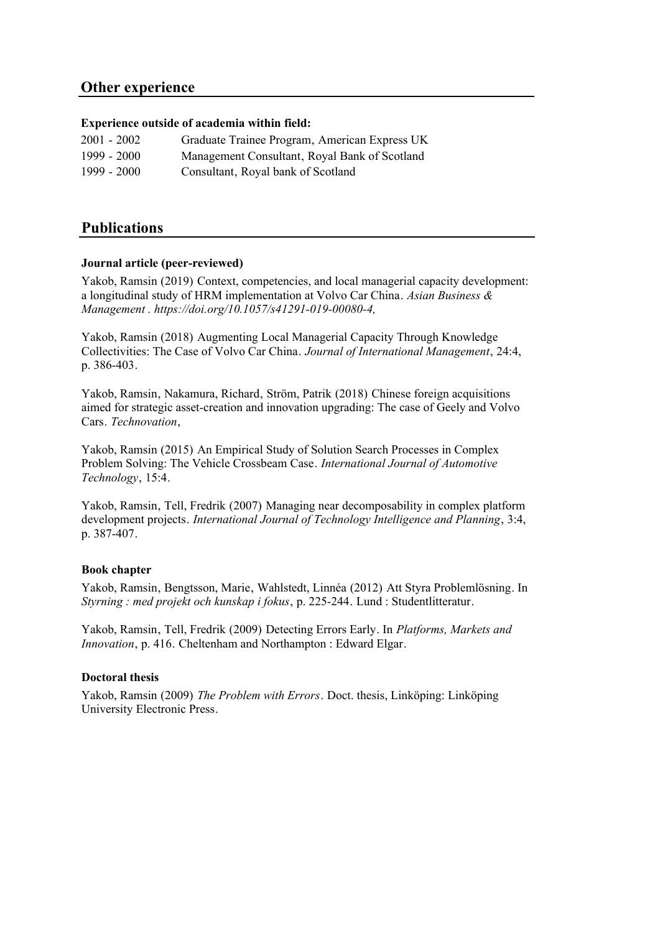## **Other experience**

## **Experience outside of academia within field:**

| $2001 - 2002$ | Graduate Trainee Program, American Express UK |
|---------------|-----------------------------------------------|
| 1999 - 2000   | Management Consultant, Royal Bank of Scotland |
| 1999 - 2000   | Consultant, Royal bank of Scotland            |

## **Publications**

## **Journal article (peer-reviewed)**

Yakob, Ramsin (2019) Context, competencies, and local managerial capacity development: a longitudinal study of HRM implementation at Volvo Car China. *Asian Business & Management . https://doi.org/10.1057/s41291-019-00080-4,*

Yakob, Ramsin (2018) Augmenting Local Managerial Capacity Through Knowledge Collectivities: The Case of Volvo Car China. *Journal of International Management*, 24:4, p. 386-403.

Yakob, Ramsin, Nakamura, Richard, Ström, Patrik (2018) Chinese foreign acquisitions aimed for strategic asset-creation and innovation upgrading: The case of Geely and Volvo Cars. *Technovation*,

Yakob, Ramsin (2015) An Empirical Study of Solution Search Processes in Complex Problem Solving: The Vehicle Crossbeam Case. *International Journal of Automotive Technology*, 15:4.

Yakob, Ramsin, Tell, Fredrik (2007) Managing near decomposability in complex platform development projects. *International Journal of Technology Intelligence and Planning*, 3:4, p. 387-407.

## **Book chapter**

Yakob, Ramsin, Bengtsson, Marie, Wahlstedt, Linnéa (2012) Att Styra Problemlösning. In *Styrning : med projekt och kunskap i fokus*, p. 225-244. Lund : Studentlitteratur.

Yakob, Ramsin, Tell, Fredrik (2009) Detecting Errors Early. In *Platforms, Markets and Innovation*, p. 416. Cheltenham and Northampton : Edward Elgar.

#### **Doctoral thesis**

Yakob, Ramsin (2009) *The Problem with Errors*. Doct. thesis, Linköping: Linköping University Electronic Press.